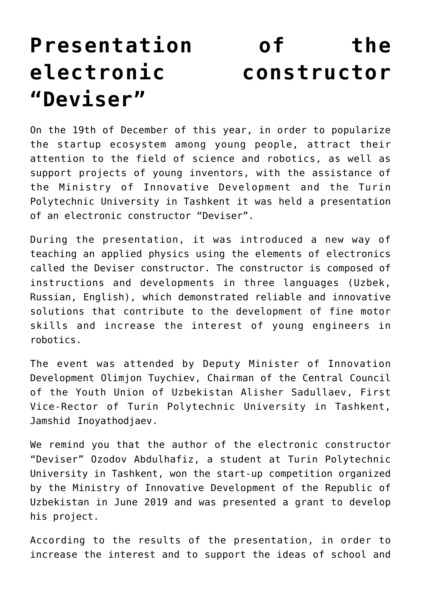## **[Presentation of the](https://polito.uz/6016/) [electronic constructor](https://polito.uz/6016/) ["Deviser"](https://polito.uz/6016/)**

On the 19th of December of this year, in order to popularize the startup ecosystem among young people, attract their attention to the field of science and robotics, as well as support projects of young inventors, with the assistance of the Ministry of Innovative Development and the Turin Polytechnic University in Tashkent it was held a presentation of an electronic constructor "Deviser".

During the presentation, it was introduced a new way of teaching an applied physics using the elements of electronics called the Deviser constructor. The constructor is composed of instructions and developments in three languages (Uzbek, Russian, English), which demonstrated reliable and innovative solutions that contribute to the development of fine motor skills and increase the interest of young engineers in robotics.

The event was attended by Deputy Minister of Innovation Development Olimjon Tuychiev, Chairman of the Central Council of the Youth Union of Uzbekistan Alisher Sadullaev, First Vice-Rector of Turin Polytechnic University in Tashkent, Jamshid Inoyathodjaev.

We remind you that the author of the electronic constructor "Deviser" Ozodov Abdulhafiz, a student at Turin Polytechnic University in Tashkent, won the start-up competition organized by the Ministry of Innovative Development of the Republic of Uzbekistan in June 2019 and was presented a grant to develop his project.

According to the results of the presentation, in order to increase the interest and to support the ideas of school and